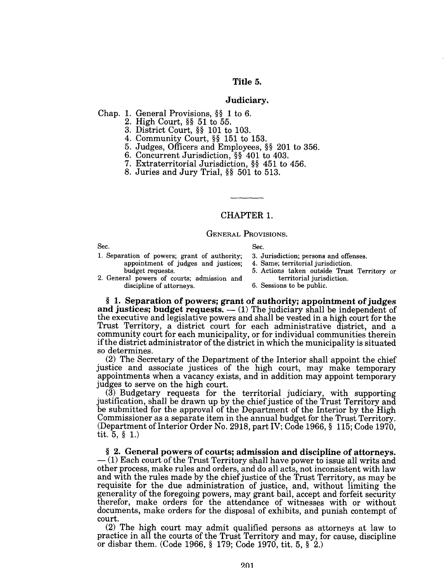# Title 5.

## JUdiciary.

Chap. 1. General Provisions, §§ 1 to 6.

2. High Court, §§ 51 to 55.

3. District Court, §§ 101 to 103.

4. Community Court, §§ 151 to 153.

- 5. Judges, Officers and Employees, §§ 201 to 356.
- 6. Concurrent Jurisdiction, §§ 401 to 403.
- 7. Extraterritorial Jurisdiction, §§ 451 to 456.
- 8. Juries and Jury Trial, §§ 501 to 513.

# CHAPTER 1.

# GENERAL PROVISIONS.

| Sec.                                         | Sec. |
|----------------------------------------------|------|
| 1. Separation of powers; grant of authority; | 3. J |
| appointment of judges and justices;          | 4. S |
| budget requests.                             | 5. A |
| 2. Conoral nomore of constant admirator and  |      |

3. Jurisdiction; persons and offenses.

- 4. Same; territorial jurisdiction.
- 5. Actions taken outside Trust Territory or
- 2. General powers of courts; admission and territorial jurisdiction.<br>discipline of attorneys. 6. Sessions to be public. discipline of attorneys.

§ 1. Separation of powers; grant of authority; appointment of judges and justices; budget requests.  $-$  (1) The judiciary shall be independent of the executive and legislative powers and shall be vested in a high court for the Trust Territory, a district court for each administrative district, and a community court for each municipality, or for individual communities therein if the district administrator of the district in which the municipality is situated so determines.

(2) The Secretary of the Department of the Interior shall appoint the chief justice and associate justices of the high court, may make temporary appointments when a vacancy exists, and in addition may appoint temporary judges to serve on the high court.

(3) Budgetary requests for the territorial judiciary, with supporting justification, shall be drawn up by the chief justice of the Trust Territory and be submitted for the approval of the Department of the Interior by the High Commissioner as a separate item in the annual budget for the Trust Territory. (Department of Interior Order No. 2918, part IV; Code 1966,  $§$  115; Code 1970, tit. 5, § 1.)

§ 2. General powers of courts; admission and discipline of attorneys.<br> $- (1)$  Each court of the Trust Territory shall have power to issue all writs and other process, make rules and orders, and do all acts, not inconsistent with law and with the rules made by the chief justice of the Trust Territory, as may be requisite for the due administration of justice, and, without limiting the generality of the foregoing powers, may grant bail, accept and forfeit security therefor, make orders for the attendance of witnesses with or without documents, make orders for the disposal of exhibits, and punish contempt of court.

(2) The high court may admit qualified persons as attorneys at law to practice in all the courts of the Trust Territory and may, for cause, discipline or disbar them. (Code 1966, § 179; Code 1970, tit. 5, § 2.)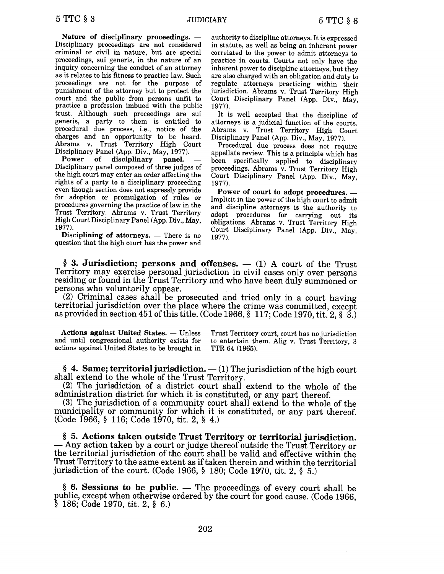Nature of disciplinary proceedings.  $-$ Disciplinary proceedings are not considered criminal or civil in nature, but are special proceedings, sui generis, in the nature of an inquiry concerning the conduct of an attorney as it relates to his fitness to practice law. Such proceedings are not for the purpose of punishment of the attorney but to protect the court and the public from persons unfit to practice a profession imbued with the public trust. Although such proceedings are sui generis, a party to them is entitled to procedural due process, i.e., notice of the charges and an opportunity to be heard. Abrams v. Trust Territory High Court

Disciplinary Panel (App. Div., May, 1977).<br>Power of disciplinary panel. disciplinary panel. Disciplinary panel composed of three judges of the high court may enter an order affecting the rights of a party to a disciplinary proceeding even though section does not expressly provide for adoption or promulgation of rules or procedures governing the practice of law in the Trust Territory. Abrams v. Trust Territory High Court Disciplinary Panel (App. Div., May, 1977).

Disciplining of attorneys.  $-$  There is no question that the high court has the power and

authority to discipline attorneys. It is expressed in statute, as well as being an inherent power correlated to the power to admit attorneys to practice in courts. Courts not only have the inherent power to discipline attorneys, but they are also charged with an obligation and duty to regulate attorneys practicing within their jurisdiction. Abrams v. Trust Territory High Court Disciplinary Panel (App. Div., May, 1977).

It is well accepted that the discipline of attorneys is a judicial function of the courts. Abrams v. Trust Territory High Court Disciplinary Panel (App. Div., May, 1977).

Procedural due process does not require appellate review. This is a principle which has been specifically applied to disciplinary proceedings. Abrams v. Trust Territory High Court Disciplinary Panel (App. Div., May, 1977).

Power of court to adopt procedures. -Implicit in the power of the high court to admit and discipline attorneys is the authority to adopt procedures for carrying out its obligations. Abrams v. Trust Territory High Court Disciplinary Panel (App. Div., May, 1977).

§ 3. Jurisdiction; persons and offenses.  $-$  (1) A court of the Trust Territory may exercise personal jurisdiction in civil cases only over persons residing or found in the Trust Territory and who have been duly summoned or persons who voluntarily appear.

(2) Criminal cases shall be prosecuted and tried only in a court having territorial jurisdiction over the place where the crime was committed, except as provided in section 451 of this title. (Code 1966, § 117; Code 1970, tit. 2, § 3.)

Actions against United States. - Unless and until congressional authority exists for actions against United States to be brought in Trust Territory court, court has no jurisdiction to entertain them. Alig v. Trust Territory, 3 TTR 64 (1965).

§ 4. Same; territorial jurisdiction.  $-$  (1) The jurisdiction of the high court shall extend to the whole of the Trust Territory.

(2) The jurisdiction of a district court shall extend to the whole of the administration district for which it is constituted, or any part thereof.

(3) The jurisdiction of a community court shall extend to the whole of the municipality or community for which it is constituted, or any part thereof. (Code 1966, § 116; Code 1970, tit. 2, § 4.)

§ 5. Actions taken outside Trust Territory or territorial Jurisdiction. - Any action taken by a court or judge thereof outside the Trust Territory or the territorial jurisdiction of the court shall be valid and effective within the Trust Territory to the same extent as if taken therein and within the territorial jurisdiction of the court. (Code 1966, § 180; Code 1970, tit. 2, § 5.)

 $§$  6. Sessions to be public.  $-$  The proceedings of every court shall be public, except when otherwise ordered by the court for good cause. (Code 1966, § 186; Code 1970, tit. 2. § 6.)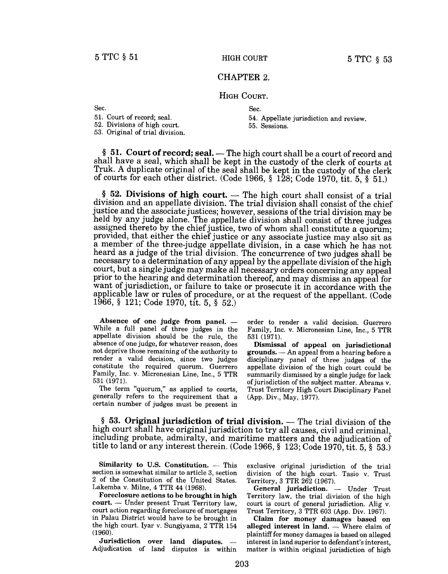## CHAPTER 2.

## HIGH COURT.

Sec. Sec.

52. Divisions of high court. 55. Sessions.

53. Original of trial division.

51. Court of record; seal. 54. Appellate jurisdiction and review.

§ 51. Court of record; seal. — The high court shall be a court of record and shall have a seal, which shall be kept in the custody of the clerk of courts at Truk. A duplicate original of the seal shall be kept in the custody of the clerk of courts for each other district. (Code 1966, § 128; Code 1970, tit. 5, § 51.)

 $§$  52. Divisions of high court.  $-$  The high court shall consist of a trial division and an appellate division. The trial division shall consist of the chief justice and the associate justices; however, sessions of the trial division may be held by any judge alone. The appellate division shall consist of three judges assigned thereto by the chief justice, two of whom shall constitute a quorum; provided, that either the chief justice or any associate justice may also sit as a member of the three-judge appellate division, in a case which he has not heard as a judge of the trial division. The concurrence of two judges shall be necessary to a determination of any appeal by the appellate division of the high court, but a single judge may make all necessary orders concerning any appeal prior to the hearing and determination thereof, and may dismiss an appeal for want of jurisdiction, or failure to take or prosecute it in accordance with the applicable law or rules of procedure, or at the request of the appellant. (Code 1966, § 121; Code 1970, tit. 5, § 52.)

Absence of one judge from panel.  $-$ While a full panel of three judges in the appellate division should be the rule, the absence of one judge, for whatever reason, does not deprive those remaining of the authority to render a valid decision, since two judges constitute the required quorum. Guerrero Family, Inc. v. Micronesian Line, Inc., 5 TTR 531 (1971).

The term "quorum," as applied to courts, generally refers to the requirement that a certain number of judges must be present in order to render a valid decision. Guerrero Family, Inc. v. Micronesian Line, Inc., 5 TTR 531 (1971).

Dismissal of appeal on jurisdictional  $grounds. - An appeal from a hearing before a$ disciplinary panel of three judges of the appellate division of the high court could be summarily dismissed by a single judge for lack of jurisdiction of the subject matter. Abrams v. Trust Territory High Court Disciplinary Panel (App. Div., May, 1977).

 $§$  53. Original jurisdiction of trial division.  $-$  The trial division of the high court shall have original jurisdiction to try all causes, civil and criminal, including probate, admiralty, and maritime matters and the adjudication of title to land or any interest therein. (Code 1966, § 123; Code 1970, tit. 5, § 53.)

Similarity to U.S. Constitution.  $-$  This section is somewhat similar to article 3, section 2 of the Constitution of the United States. Lakemba v. Milne, 4 TTR 44 (1968).

Foreclosure actions to be brought in high court. - Under present Trust Territory law, court action regarding foreclosure of mortgages in Palau District would have to be brought in the high court. Iyar v. Sungiyama, 2 TTR 154 (1960).

Jurisdiction over land disputes.  $-$ Adjudication of land disputes is within exclusive original jurisdiction of the trial division of the high court. Tasio v. Trust Territory, 3 TTR 262 (1967).

General jurisdiction. - Under Trust Territory law, the trial division of the high court is court of general jurisdiction. Alig v. Trust Territory, 3 TTR 603 (App. Div. 1967).

Claim for money damages based on alleged interest in land.  $-$  Where claim of plaintiff for money damages is based on alleged interest in land superior to defendant's interest, matter is within original jurisdiction of high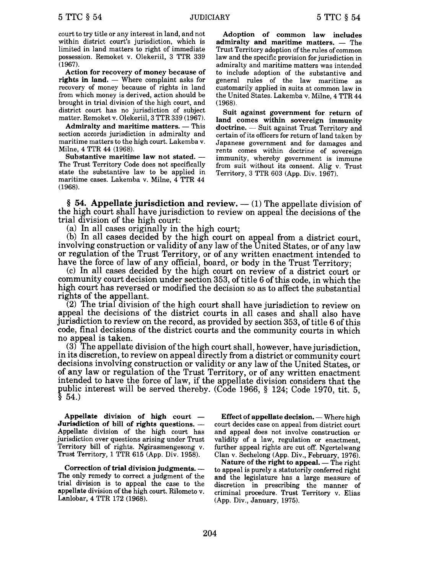court to try title or any interest in land, and not within district court's jurisdiction, which is limited in land matters to right of immediate possession. Remoket v. Olekeriil, 3 TTR 339 (1967).

Action for recovery of money because of rights in land.  $-$  Where complaint asks for recovery of money because of rights in land from which money is derived, action should be brought in trial division of the high court, and district court has no jurisdiction of subject matter. Remoket v. Olekeriil, 3 TTR 339 (1967).

Admiralty and maritime matters.  $-$  This section accords jurisdiction in admiralty and maritime matters to the high court. Lakemba v. Milne, 4 TIR 44 (1968).

Substantive maritime law not stated.  $-$ The Trust Territory Code does not specifically state the substantive law to be applied in maritime cases. Lakemba v. Milne, 4 TTR 44 (1968).

Adoption of common law includes admiralty and maritime matters. - The Trust Territory adoption of the rules of common law and the specific provision for jurisdiction in admiralty and maritime matters was intended to include adoption of the substantive and general rules of the law maritime as customarily applied in suits at common law in the United States. Lakemba v. Milne, 4 TTR 44 (1968).

Suit against government for return of land comes within sovereign immunity doctrine. — Suit against Trust Territory and certain of its officers for return of land taken by Japanese government and for damages and rents comes within doctrine of sovereign immunity, whereby government is immune from suit without its consent. Alig v. Trust Territory, 3 TTR 603 (App. Div. 1967).

§ 54. Appellate jurisdiction and review.  $-$  (1) The appellate division of the high court shall have jurisdiction to review on appeal the decisions of the trial division of the high court:

(a) In all cases originally in the high court;

(b) In all cases decided by the high court on appeal from a district court, involving construction or validity of any law of the United States, or of any law or regulation of the Trust Territory, or of any written enactment intended to have the force of law of any official, board, or body in the Trust Territory;

(c) In all cases decided by the high court on review of a district court or community court decision under section 353, of title 6 of this code, in which the high court has reversed or modified the decision so as to affect the substantial rights of the appellant.

(2) The trial division of the high court shall have jurisdiction to review on appeal the decisions of the district courts in all cases and shall also have jurisdiction to review on the record, as provided by section 353, of title 6 of this code, final decisions of the district courts and the community courts in which no appeal is taken.

 $(3)$  The appellate division of the high court shall, however, have jurisdiction, in its discretion, to review on appeal directly from a district or community court decisions involving construction or validity or any law of the United States, or of any law or regulation of the Trust Territory, or of any written enactment intended to have the force of law, if the appellate division considers that the public interest will be served thereby. (Code 1966, § 124; Code 1970, tit. 5,  $§ 54.$ 

Appellate division of high court  $-$ Jurisdiction of bill of rights questions. -Appellate division of the high court has jurisdiction over questions arising under Trust Territory bill of rights. Ngirasmengesong v. Trust Territory, 1 TTR 615 (App. Div. 1958).

Correction of trial division judgments. --The only remedy to correct a judgment of the trial division is to appeal the case to the appellate division of the high court. Rilometo v. Lanlobar, 4 TIR 172 (1968).

Effect of appellate decision.  $-$  Where high court decides case on appeal from district court and appeal does not involve construction or validity of a law, regulation or enactment, further appeal rights are cut off. Ngertelwang Clan v. Sechelong (App. Div., February, 1976).

Nature of the right to appeal.  $-$  The right to appeal is purely a statutorily conferred right and the legislature has a large measure of discretion in prescribing the manner of criminal procedure. Trust Territory v. Elias (App. Div., January, 1975).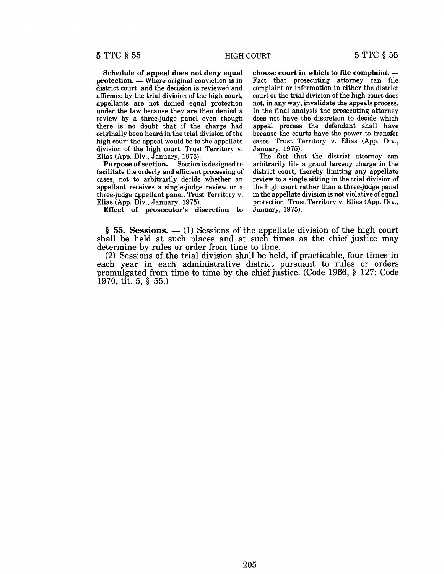Schedule of appeal does not deny equal protection. - Where original conviction is in district court, and the decision is reviewed and affirmed by the trial division of the high court, appellants are not denied equal protection under the law because they are then denied a review by a three-judge panel even though there is no doubt that if the charge had originally been heard in the trial division of the high court the appeal would be to the appellate division of the high court. Trust Territory v. Elias (App. Div., January, 1975).

Purpose of section. - Section is designed to facilitate the orderly and efficient processing of cases, not to arbitrarily decide whether an appellant receives a single-judge review or a three-judge appellant panel. Trust Territory v. Elias (App. Div., January, 1975).

Effect of prosecutor's discretion to

choose court in which to file complaint.  $-$ Fact that prosecuting attorney can file complaint or information in either the district court or the trial division of the high court does not, in any way, invalidate the appeals process. In the final analysis the prosecuting attorney does not have the discretion to decide which appeal process the defendant shall have because the courts have the power to transfer cases. Trust Territory v. Elias (App. Div., January, 1975).

The fact that the district attorney can arbitrarily file a grand larceny charge in the district court, thereby limiting any appellate review to a single sitting in the trial division of the high court rather than a three-judge panel in the appellate division is not violative of equal protection. Trust Territory v. Elias (App. Div., January, 1975).

 $§$  55. Sessions.  $-$  (1) Sessions of the appellate division of the high court shall be held at such places and at such times as the chief justice may determine by rules or order from time to time.

(2) Sessions of the trial division shall be held, if practicable, four times in each year in each administrative district pursuant to rules or orders promulgated from time to time by the chief justice. (Code 1966, § 127; Code 1970, tit. 5, § 55.)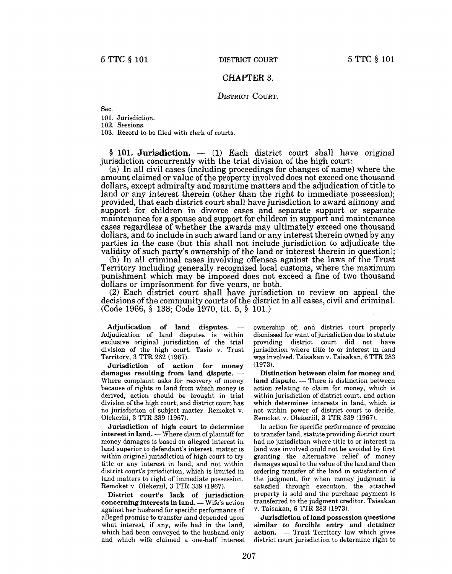## CHAPTER 3.

# DISTRICT COURT.

Sec.

101. Jurisdiction.

102. Sessions.

103. Record to be filed with clerk of courts.

 $§$  101. Jurisdiction.  $-$  (1) Each district court shall have original jurisdiction concurrently with the trial division of the high court:

(a) In all civil cases (including proceedings for changes of name) where the amount claimed or value of the property involved does not exceed one thousand dollars, except admiralty and maritime matters and the adjudication of title to land or any interest therein (other than the right to immediate possession); provided, that each district court shall have jurisdiction to award alimony and support for children in divorce cases and separate support or separate maintenance for a spouse and support for children in support and maintenance cases regardless of whether the awards may ultimately exceed one thousand dollars, and to include in such award land or any interest therein owned by any parties in the case (but this shall not include jurisdiction to adjudicate the validity of such party's ownership of the land or interest therein in question);

(b) In all criminal cases involving offenses against the laws of the Trust Territory including generally recognized local customs, where the maximum punishment which may be imposed does not exceed a fine of two thousand dollars or imprisonment for five years, or both.

(2) Each district court shall have jurisdiction to review on appeal the decisions of the community courts of the district in all cases, civil and criminal. (Code 1966, § 138; Code 1970, tit. 5, § 101.)

Adjudication of land disputes. Adjudication of land disputes is within exclusive original jurisdiction of the trial division of the high court. Tasio v. Trust Territory, 3 TTR 262 (1967).

Jurisdiction of action for money damages resulting from land dispute.  $-$ Where complaint asks for recovery of money because of rights in land from which money is derived, action should be brought in trial division of the high court, and district court has no jurisdiction of subject matter. Remoket v. Olekeriil, 3 TTR 339 (1967).

Jurisdiction of high court to determine  $interest$  in land.  $-$  Where claim of plaintiff for money damages is based on alleged interest in land superior to defendant's interest, matter is within original jurisdiction of high court to try title or any interest in land, and not within district court's jurisdiction, which is limited in land matters to right of immediate possession. Remoket v. Olekeriil, 3 TTR 339 (1967).

District court's lack of jurisdiction concerning interests in land. - Wife's action against her husband for specific performance of alleged promise to transfer land depended upon what interest, if any, wife had in the land, which had been conveyed to the husband only and which wife claimed a one-half interest ownership of; and district court properly dismissed for want of jurisdiction due to statute providing district court did not have jurisdiction where title to or interest in land was involved. Taisakan v. Taisakan, 6 TTR 283 (1973).

Distinction between claim for money and land dispute. - There is distinction between action relating to claim for money, which is within jurisdiction of district court, and action which determines interests in land, which is not within power of district court to decide. Remoket v. Olekeriil, 3 TTR 339 (1967).

In action for specific performance of promise to transfer land, statute providing district court had no jurisdiction where title to or interest in land was involved could not be avoided by first granting the alternative relief of money damages equal to the value of the land and then ordering transfer of the land in satisfaction of the judgment, for when money judgment is satisfied through execution, the attached property is sold and the purchase payment is transferred to the judgment creditor. Taisakan v. Taisakan, 6 TTR 283 (1973).

Jurisdiction of land possession questions similar to forcible entry and detainer  $action. - Trust Territory law which gives$ district court jurisdiction to determine right to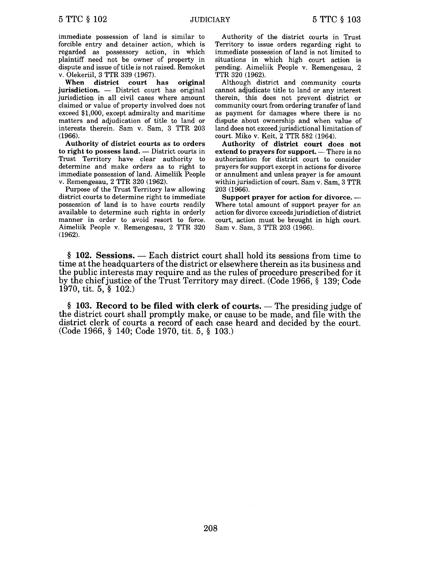immediate possession of land is similar to forcible entry and detainer action, which is regarded as possessory action, in which plaintiff need not be owner of property in dispute and issue of title is not raised. Remoket v. Olekeriil, 3 TTR 339 (1967).

When district court has original  $j$ urisdiction.  $\qquad$  District court has original jurisdiction in all civil cases where amount claimed or value of property involved does not exceed \$1,000, except admiralty and maritime matters and adjudication of title to land or interests therein. Sam v. Sam, 3 TTR 203 (1966).

Authority of district courts as to orders to right to possess land.  $-$  District courts in Trust Territory have clear authority to determine and make orders as to right to immediate possession of land. Aimeliik People v. Remengesau, 2 TTR 320 (1962).

Purpose of the Trust Territory law allowing district courts to determine right to immediate possession of land is to have courts readily available to determine such rights in orderly manner in order to avoid resort to force. Aimeliik People v. Remengesau, 2 TTR 320 (1962).

Authority of the district courts in Trust Territory to issue orders regarding right to immediate possession of land is not limited to situations in which high court action is pending. Aimeliik People v. Remengesau, 2 TTR 320 (1962).

Although district and community courts cannot adjudicate title to land or any interest therein, this does not prevent district or community court from ordering transfer of land as payment for damages where there is no dispute about ownership and when value of land does not exceed jurisdictional limitation of court. Miko v. Keit, 2 TTR 582 (1964).

Authority of district court does not extend to prayers for support.  $-$  There is no authorization for district court to consider prayers for support except in actions for divorce or annulment and unless prayer is for amount within jurisdiction of court. Sam v. Sam, 3 TTR 203 (1966).

Support prayer for action for divorce. --Where total amount of support prayer for an action for divorce exceeds jurisdiction of district court, action must be brought in high court. Sam v. Sam, 3 TTR 203 (1966).

 $§$  102. Sessions.  $-$  Each district court shall hold its sessions from time to time at the headquarters of the district or elsewhere therein as its business and the public interests may require and as the rules of procedure prescribed for it by the chief justice of the Trust Territory may direct. (Code 1966, § 139; Code 1970, tit. 5, § 102.)

 $§$  103. Record to be filed with clerk of courts. — The presiding judge of the district court shall promptly make, or cause to be made, and file with the district clerk of courts a record of each case heard and decided by the court. (Code 1966, § 140; Code 1970, tit. 5, § 103.)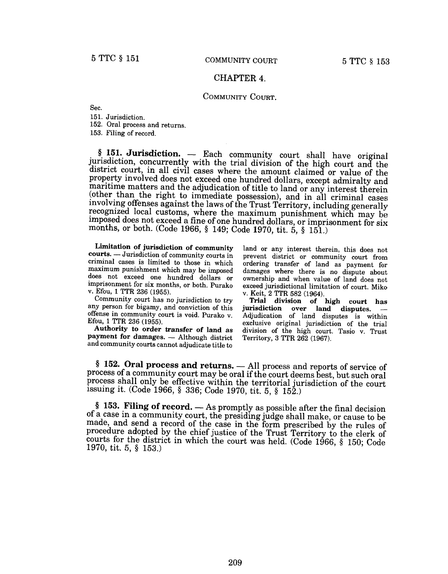# CHAPTER 4.

## COMMUNITY COURT.

Sec.

151. Jurisdiction.

152. Oral process and returns.

153. Filing of record.

§ 151. Jurisdiction. - Each community court shall have original jurisdiction, concurrently with the trial division of the high court and the district court, in all civil cases where the amount claimed or value of the property involved does not exceed one hundred dollars, except admiralty and maritime matters and the adjudication of title to land or any interest therein. (other than the right to immediate possession), and in all criminal cases involving offenses against the laws of the Trust Territory, including generally recognized local customs, where the maximum punishment which may be imposed does not exceed a fine of one hundred dollars, or imprisonment for six months, or both. (Code 1966, § 149; Code 1970, tit. 5, § 151.)

Limitation of jurisdiction of community courts. - Jurisdiction of community courts in criminal cases is limited to those in which maximum punishment which may be imposed does not exceed one hundred dollars or imprisonment for six months, or both. Purako v. Efou, 1 TTR 236 (1955).

Community court has no jurisdiction to try any person for bigamy, and conviction of this offense in community court is void. Purako v. Efou, 1 TTR 236 (1955).

Authority to order transfer of land as payment for damages. - Although district and community courts cannot adjudicate title to

land or any interest therein, this does not prevent district or community court from ordering transfer of land as payment for damages where there is no dispute about ownership and when value of land does not exceed jurisdictional limitation of court. Miko v. Keit, 2 TTR 582 (1964).

Trial division of high court has jurisdiction over land disputes. Adjudication of land disputes is within exclusive original jurisdiction of the trial division of the high court. Tasio v. Trust Territory, 3 TTR 262 (1967).

§ 152. Oral process and returns. - All process and reports of service of process of a community court may be oral if the court deems best, but such oral process shall only be effective within the territorial jurisdiction of the court issuing it. (Code 1966, § 336; Code 1970, tit. 5, § 152.)

§ 153. Filing of record.  $-$  As promptly as possible after the final decision of a case in a community court, the presiding judge shall make, or cause to be made, and send a record of the case in the form prescribed by the rules of procedure adopted by the chief justice of the Trust Territory to the clerk of courts for the district in which the court was held. (Code 1966, § 150; Code 1970, tit. 5, § 153.)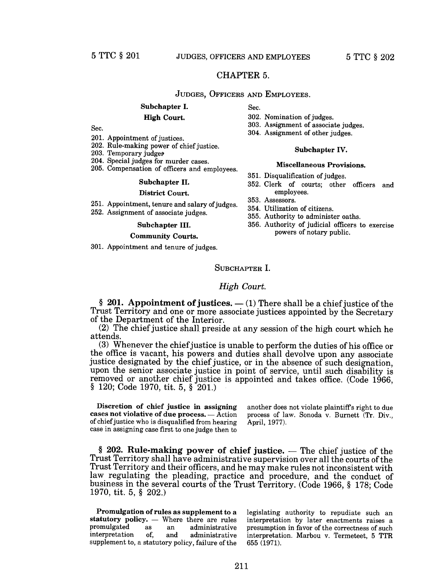# CHAPTER 5.

## JUDGES, OFFICERS AND EMPLOYEES.

# Subchapter I.

# High Court.

Sec.

- 201. Appointment of justices.
- 202. Rule-making power of chief justice.
- 203. Temporary judges
- 204. Special judges for murder cases.
- 205. Compensation of officers and employees.

#### Subchapter II.

#### District Court.

- 251. Appointment, tenure and salary of judges.
- 252. Assignment of associate judges.

#### Subchapter III.

#### Community Courts.

301. Appointment and tenure of judges.

Sec.

- 302. Nomination of judges.
- 303. Assignment of associate judges.
- 304. Assignment of other judges.
- 

### Subchapter IV.

#### Miscellaneous Provisions.

- 351. Disqualification of judges.
- 352. Clerk of courts; other officers and employees.
- 353. Assessors.
- 354. Utilization of citizens.
- 355. Authority to administer oaths.
- 356. Authority of judicial officers to exercise powers of notary public.

# SUBCHAPTER I.

## *High Court.*

§ 201. Appointment of justices.  $-$  (1) There shall be a chief justice of the Trust Territory and one or more associate justices appointed by the Secretary of the Department of the Interior.

(2) The chief justice shall preside at any session of the high court which he attends.

(3) Whenever the chief justice is unable to perform the duties of his office or the office is vacant, his powers and duties shall devolve upon any associate justice designated by the chief justice, or in the absence of such designation, upon the senior associate justice in point of service, until such disability is removed or another chief justice is appointed and takes office. (Code 1966, § 120; Code 1970, tit. 5, § 201.)

Discretion of chief justice in assigning cases not violative of due process.  $-$  Action of chief justice who is disqualified from hearing case in assigning case first to one judge then to

another does not violate plaintiffs right to due process of law. Sonoda v. Burnett (Tr. Div., April, 1977).

 $§$  202. Rule-making power of chief justice.  $-$  The chief justice of the Trust Territory shall have administrative supervision over all the courts of the Trust Territory and their officers, and he may make rules not inconsistent with law regulating the pleading, practice and procedure, and the conduct of business in the several courts of the Trust Territory. (Code 1966, § 178; Code 1970, tit. 5, § 202.)

Promulgation of rules as supplement to a statutory policy. - Where there are rules<br>promulgated as an administrative promulgated as an administrative<br>interpretation of, and administrative administrative supplement to, a statutory policy, failure of the

legislating authority to repudiate such an interpretation by later enactments raises a presumption in favor of the correctness of such interpretation. Marbou v. Termeteet, 5 TTR 655 (1971).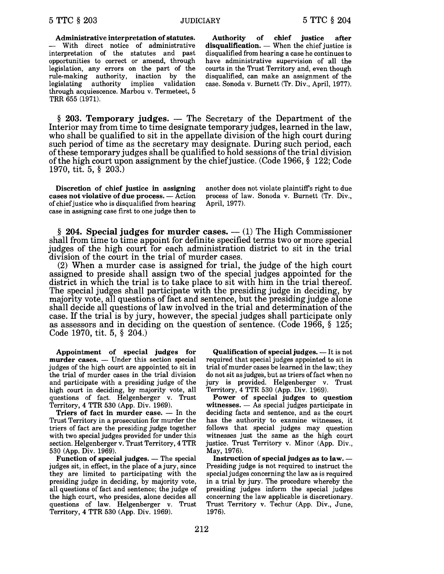Administrative interpretation of statutes. - With direct notice of administrative interpretation of the statutes and past opportunities to correct or amend, through legislation, any errors on the part of the rule-making authority, inaction by the legislating authority implies validation through acquiescence. Marbou v. Termeteet, 5 TRR 655 (1971).

Authority of chief justice after  $disqualification.$  When the chief justice is disqualified from hearing a case he continues to have administrative supervision of all the courts in the Trust Territory and, even though disqualified, can make an assignment of the case. Sonoda v. Burnett (Tr. Div., April, 1977).

 $§$  203. Temporary judges.  $-$  The Secretary of the Department of the Interior may from time to time designate temporary judges, learned in the law, who shall be qualified to sit in the appellate division of the high court during such period of time as the secretary may designate. During such period, each ofthese temporary judges shall be qualified to hold sessions ofthe trial division of the high court upon assignment by the chief justice. (Code 1966,  $\S$  122; Code 1970, tit. 5, § 203.)

Discretion of chief justice in assigning cases not violative of due process. - Action of chief justice who is disqualified from hearing case in assigning case first to one judge then to

another does not violate plaintiffs right to due process of law. Sonoda v. Burnett (Tr. Div., April, 1977).

 $\S$  204. Special judges for murder cases.  $-$  (1) The High Commissioner shall from time to time appoint for definite specified terms two or more special judges of the high court for each administration district to sit in the trial division of the court in the trial of murder cases.

(2) When a murder case is assigned for trial, the judge of the high court assigned to preside shall assign two of the special judges appointed for the district in which the trial is to take place to sit with him in the trial thereof. The special judges shall participate with the presiding judge in deciding, by majority vote, all questions of fact and sentence, but the presiding judge alone shall decide all questions of law involved in the trial and determination of the case. If the trial is by jury, however, the special judges shall participate only as assessors and in deciding on the question of sentence. (Code 1966, § 125; Code 1970, tit. 5, § 204.)

Appointment of special judges for  $murder cases. - Under this section special$ judges of the high court are appointed, to sit in the trial of murder cases in the trial division and participate with a presiding judge of the high court in deciding, by majority vote, all questions of fact. Helgenberger v. Trust Territory, 4 TTR 530 (App. Div. 1969).

Triers of fact in murder case.  $-$  In the Trust Territory in a prosecution for murder the triers of fact are the presiding judge together with two special judges provided for under this section. Helgenberger v. Trust Territory, 4 TTR 530 (App. Div. 1969).

Function of special judges.  $-$  The special judges sit, in effect, in the place of a jury, since they are limited to participating with the presiding judge in deciding, by majority vote, all questions of fact and sentence; the judge of the high court, who presides, alone decides all questions of law. Helgenberger v. Trust Territory, 4 TTR 530 (App. Div. 1969).

Qualification of special judges.  $-$  It is not required that special judges appointed to sit in trial of murder cases be learned in the law; they do not sit as judges, but as triers offact when no jury is provided. Helgenberger v. Trust Territory, 4 TTR 530 (App. Div. 1969).

Power of special judges to question witnesses.  $-$  As special judges participate in deciding facts and sentence, and as the court has the authority to examine witnesses, it follows that special judges may question witnesses just the same as the high court justice. Trust Territory v. Minor (App. Div., May, 1976).

Instruction of special judges as to law. -Presiding judge is not required to instruct the special judges concerning the law as is required in a trial by jury. The procedure whereby the presiding judges inform the special judges concerning the law applicable is discretionary. Trust Territory v. Techur (App. Div., June, 1976).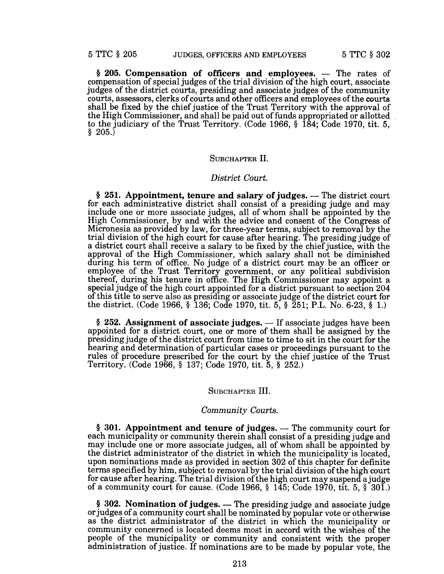$§$  205. Compensation of officers and employees.  $-$  The rates of compensation of special judges of the trial division of the high court, associate judges of the district courts, presiding and associate judges of the community courts, assessors, clerks of courts and other officers and employees of the courts shall be fixed by the chief justice of the Trust Territory with the approval of the High Commissioner, and shall be paid out of funds appropriated or allotted to the judiciary of the Trust Territory. (Code 1966, § 184; Code 1970, tit. 5,  $$205.$ 

## SUBCHAPTER II.

# *District Court.*

 $§$  251. Appointment, tenure and salary of judges.  $-$  The district court for each administrative district shall consist of a presiding judge and may include one or more associate judges, all of whom shall be appointed by the High Commissioner, by and with the advice and consent of the Congress of Micronesia as provided by law, for three-year terms, subject to removal by the trial division of the high court for cause after hearing. The presiding judge of a district court shall receive a salary to be fixed by the chief justice, with the approval of the High Commissioner, which salary shall not be diminished during his term of office. No judge of a district court may be an officer or employee of the Trust Territory government, or any political subdivision thereof, during his tenure in office. The High Commissioner may appoint a special judge of the high court appointed for a district pursuant to section 204 of this title to serve also as presiding or associate judge of the district court for the district. (Code 1966, § 136; Code 1970, tit. 5, § 251; P.L. No. 6-23, § 1.)

 $§$  252. Assignment of associate judges.  $-$  If associate judges have been appointed for a district court, one or more of them shall be assigned by the presiding judge of the district court from time to time to sit in the court for the hearing and determination of particular cases or proceedings pursuant to the rules of procedure prescribed for the court by the chief justice of the Trust Territory. (Code 1966, § 137; Code 1970, tit. 5, § 252.)

# SUBCHAPTER III.

### *Community Courts.*

 $§$  301. Appointment and tenure of judges.  $-$  The community court for each municipality or community therein shall consist of a presiding judge and may include one or more associate judges, all of whom shall be appointed by the district administrator of the district in which the municipality is located, upon nominations made as provided in section 302 of this chapter for definite terms specified by him, subject to removal by the trial division of the high court for cause after hearing. The trial division of the high court may suspend a judge of a community court for cause. (Code 1966,  $\S$  145; Code 1970, tit. 5,  $\S$  301.)

 $§$  302. Nomination of judges. — The presiding judge and associate judge or judges of a community court shall be nominated by popular vote or otherwise as the district administrator of the district in which the municipality or community concerned is located deems most in accord with the wishes of the people of the municipality or community and consistent with the proper administration of justice. If nominations are to be made by popular vote, the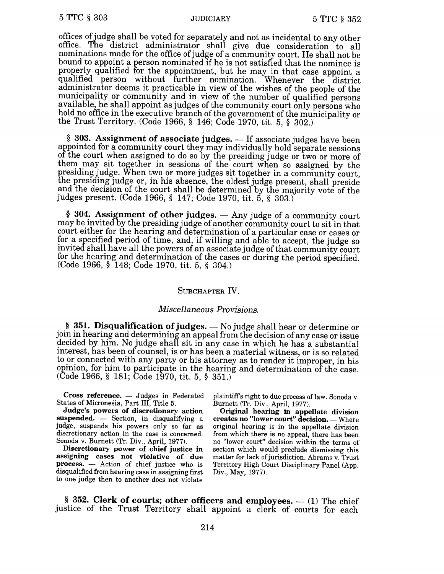offices of judge shall be voted for separately and not as incidental to any other office. The district administrator shall give due consideration to all nominations made for the office of judge of a community court. He shall not be bound to appoint a person nominated if he is not satisfied that the nominee is properly qualified for the appointment, but he may in that case appoint a qualified person without further nomination. Whenever the district administrator deems it practicable in view of the wishes of the people of the municipality or community and in view of the number of qualified persons available, he shall appoint as judges of the community court only persons who hold no office in the executive branch of the government of the municipality or the Trust Territory. (Code 1966, § 146; Code 1970, tit. 5, § 302.)

 $§$  303. Assignment of associate judges.  $-$  If associate judges have been appointed for a community court they may individually hold separate sessions of the court when assigned to do so by the presiding judge or two or more of them may sit together in sessions of the court when so assigned by the presiding judge. When two or more judges sit together in a community court, the presiding judge or, in his absence, the oldest judge present, shall preside and the decision of the court shall be determined by the majority vote of the judges present. (Code 1966, § 147; Code 1970, tit. 5, § 303.)

 $§$  304. Assignment of other judges.  $-$  Any judge of a community court may be invited by the presiding judge of another community court to sit in that court either for the hearing and determination of a particular case or cases or for a specified period of time, and, if willing and able to accept, the judge so invited shall have all the powers of an associate judge of that community court for the hearing and determination of the cases or during the period specified. (Code 1966, § 148; Code 1970, tit. 5, § 304.)

# SUBCHAPTER IV.

# *Miscellaneous Provisions.*

 $§$  351. Disqualification of judges.  $-$  No judge shall hear or determine or join in hearing and determining an appeal from the decision of any case or issue decided by him. No judge shall sit in any case in which he has a substantial interest, has been of counsel, is or has been a material witness, or is so related to or connected with any party or his attorney as to render it improper, in his opinion, for him to participate in the hearing and determination of the case. (Code 1966, § 181; Code 1970, tit. 5, § 351.)

Cross reference.  $-$  Judges in Federated States of Micronesia, Part III, Title 5.

Judge's powers of discretionary action suspended. - Section, in disqualifying a judge, suspends his powers only so far as discretionary action in the case is concerned. Sonoda v. Burnett (Tr. Div., April, 1977).

Discretionary power of chief justice in assigning cases not violative of due process. - Action of chief justice who is disqualified from hearing case in assigning first to one judge then to another does not violate

plaintiff's right to due process of law. Sonoda v. Burnett (Tr. Div., April, 1977).

Original hearing in appellate division creates no "lower court" decision. - Where original hearing is in the appellate division from which there is no appeal, there has been no "lower court" decision within the terms of section which would preclude dismissing this matter for lack of jurisdiction. Abrams v. Trust Territory High Court Disciplinary Panel (App. Div., May, 1977).

§ 352. Clerk of courts; other officers and employees.  $-$  (1) The chief justice of the Trust Territory shall appoint a clerk of courts for each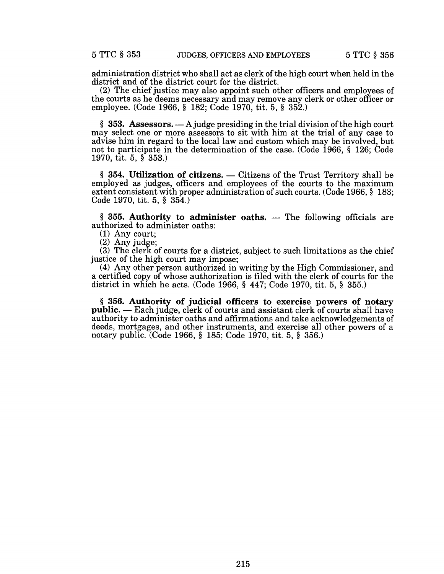administration district who shall act as clerk of the high court when held in the district and of the district court for the district.

(2) The chief justice may also appoint such other officers and employees of the courts as he deems necessary and may remove any clerk or other officer or employee. (Code 1966, § 182; Code 1970, tit. 5, § 352.)

§ 353. Assessors.  $-A$  judge presiding in the trial division of the high court may select one or more assessors to sit with him at the trial of any case to advise him in regard to the local law and custom which may be involved, but not to participate in the determination of the case. (Code 1966, § 126; Code 1970, tit. 5, § 353.)

 $§$  354. Utilization of citizens.  $-$  Citizens of the Trust Territory shall be employed as judges, officers and employees of the courts to the maximum extent consistent with proper administration of such courts. (Code 1966, § 183; Code 1970, tit. 5, § 354.)

 $§$  355. Authority to administer oaths. - The following officials are authorized to administer oaths:

(1) Any court;

(2) Any judge;

(3) The clerk of courts for a district, subject to such limitations as the chief justice of the high court may impose;

(4) Any other person authorized in writing by the High Commissioner, and a certified copy of whose authorization is filed with the clerk of courts for the district in which he acts. (Code 1966, § 447; Code 1970, tit. 5, § 355.)

§ 356. Authority of judicial officers to exercise powers of notary public. - Each judge, clerk of courts and assistant clerk of courts shall have authority to administer oaths and affirmations and take acknowledgements of deeds, mortgages, and other instruments, and exercise all other powers of a notary public. (Code 1966, § 185; Code 1970, tit. 5, § 356.)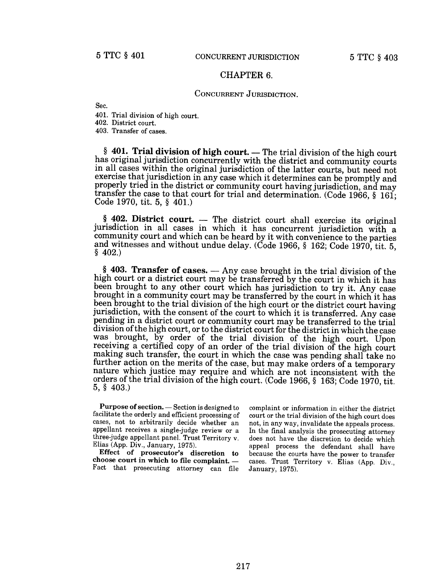## CHAPTER 6.

## CONCURRENT JURISDICTION.

Sec.

401. Trial division of high court.

402. District court.

403. Transfer of cases.

 $§$  401. Trial division of high court. — The trial division of the high court has original jurisdiction concurrently with the district and community courts in all cases within the original jurisdiction of the latter courts, but need not exercise that jurisdiction in any case which it determines can be promptly and properly tried in the district or community court having jurisdiction, and may transfer the case to that court for trial and determination. (Code 1966, § 161; Code 1970, tit. 5, § 401.)

 $§$  402. District court. - The district court shall exercise its original jurisdiction in all cases in which it has concurrent jurisdiction with a community court and which can be heard by it with convenience to the parties and witnesses and without undue delay. (Code 1966, § 162; Code 1970, tit. 5, § 402.)

 $§$  403. Transfer of cases.  $-$  Any case brought in the trial division of the high court or a district court may be transferred by the court in which it has been brought to any other court which has jurisdiction to try it. Any case brought in a community court may be transferred by the court in which it has been brought to the trial division of the high court or the district court having jurisdiction, with the consent of the court to which it is transferred. Any case pending in a district court or community court may be transferred to the trial division of the high court, or to the district court for the district in which the case was brought, by order of the trial division of the high court. Upon receiving a certified copy of an order of the trial division of the high court making such transfer, the court in which the case was pending shall take no further action on the merits of the case, but may make orders of a temporary nature which justice may require and which are not inconsistent with the orders of the trial division of the high court. (Code 1966, § 163; Code 1970, tit. 5, § 403.)

Purpose of section. - Section is designed to facilitate the orderly and efficient processing of cases, not to arbitrarily decide whether an appellant receives a single-judge review or a three-judge appellant panel. Trust Territory v. Elias (App. Div., January, 1975).

Effect of prosecutor's discretion to choose court in which to file complaint.  $-$ Fact that prosecuting attorney can file complaint or information in either the district court or the trial division of the high court does not, in any way, invalidate the appeals process. In the final analysis the prosecuting attorney does not have the discretion to decide which appeal process the defendant shall have because the courts have the power to transfer cases. Trust Territory v. Elias (App. Div., January, 1975).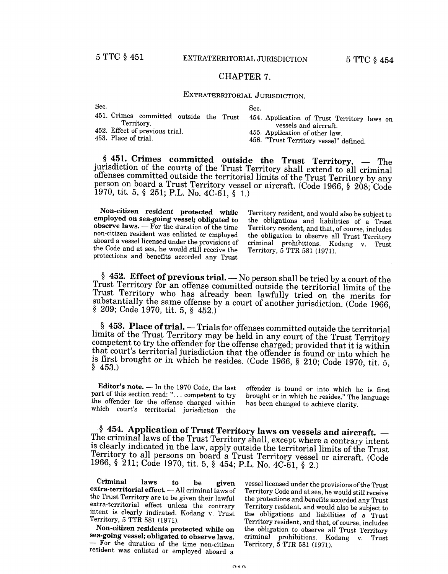# CHAPTER 7.

# EXTRATERRITORIAL JURISDICTION.

| Sec.                                    | Sec.                                        |
|-----------------------------------------|---------------------------------------------|
| 451. Crimes committed outside the Trust | 454. Application of Trust Territory laws on |
| Territory.                              | vessels and aircraft.                       |
| 452. Effect of previous trial.          | 455. Application of other law.              |
| 453. Place of trial.                    | 456. "Trust Territory vessel" defined.      |

 $§$  451. Crimes committed outside the Trust Territory.  $-$  The jurisdiction of the courts of the Trust Territory shall extend to all criminal offenses committed outside the territorial limits of the Trust Territory by any person on board a Trust Territory vessel or aircraft. (Code 1966, § 208; Code 1970, tit. 5,  $\S$  251; P.L. No. 4C-61,  $\S$  1.)

Non-citizen resident protected while employed on sea-going vessel; obligated to observe laws.  $-$  For the duration of the time non-citizen resident was enlisted or employed aboard a vessel licensed under the provisions of the Code and at sea, he would still receive the protections and benefits accorded any Trust

Territory resident, and would also be subject to the obligations and liabilities of a Trust Territory resident, and that, of course, includes the obligation to observe all Trust Territory criminal prohibitions. Kodang v. Trust Territory, 5 TTR 581 (1971).

§ 452. Effect of previous trial.  $-$  No person shall be tried by a court of the Trust Territory for an offense committed outside the territorial limits of the Trust Territory who has already been lawfully tried on the merits for substantially the same offense by a court of another jurisdiction. (Code 1966, § 209; Code 1970, tit. 5, § 452.)

 $§$  453. Place of trial.  $-$  Trials for offenses committed outside the territorial limits of the Trust Territory may be held in any court of the Trust Territory competent to try the offender for the offense charged; provided that it is within that court's territorial jurisdiction that the offender is found or into which he is first brought or in which he resides. (Code 1966, § 210; Code 1970, tit. 5, § 453.)

Editor's note.  $-$  In the 1970 Code, the last part of this section read: "... competent to try the offender for the offense charged within which court's territorial jurisdiction the

offender is found or into which he is first brought or in which he resides." The language has been changed to achieve clarity.

§ 454. Application of Trust Territory laws on vessels and aircraft.  $-$  The criminal laws of the Trust Territory shall, except where a contrary intent is clearly indicated in the law, apply outside the territorial limits of the Trust Territory to all persons on board a Trust Territory vessel or aircraft. (Code 1966, § 211; Code 1970, tit. 5, § 454; P.L. No. *4C-61,* § 2.)

Criminal laws to be given  $\frac{\text{extra-territorial effect.} - \text{All criminal laws of}}{n}$ the Trust Territory are to be given their lawful extra-territorial effect unless the contrary intent is clearly indicated. Kodang v. Trust Territory, 5 TTR 581 (1971).

Non-citizen residents protected while on sea-going vessel; obligated to observe laws. - For the duration of the time non-citizen resident was enlisted or employed aboard a

vessel licensed under the provisions of the Trust Territory Code and at sea, he would still receive the protections and benefits accorded any Trust Territory resident, and would also be subject to the obligations and liabilities of a Trust Territory resident, and that, of course, includes the obligation to observe all Trust Territory criminal prohibitions. Kodang v. Trust Territory, 5 TTR 581 (1971).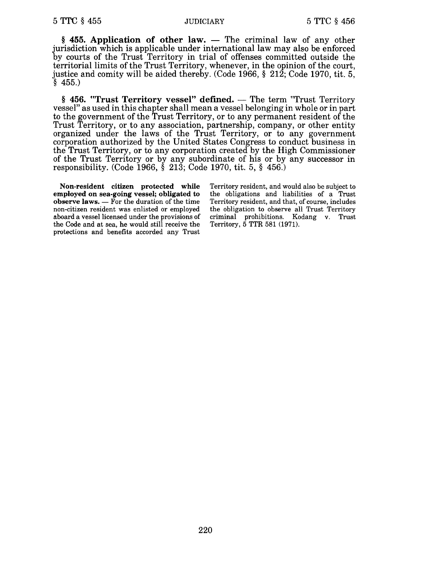$§$  455. Application of other law.  $-$  The criminal law of any other jurisdiction which is applicable under international law may also be enforced by courts of the Trust Territory in trial of offenses committed outside the territorial limits of the Trust Territory, whenever, in the opinion of the court, justice and comity will be aided thereby. (Code 1966, § 212; Code 1970, tit. 5,  $§$  455.

 $§$  456. "Trust Territory vessel" defined.  $-$  The term "Trust Territory vessel" as used in this chapter shall mean a vessel belonging in whole or in part to the government of the Trust Territory, or to any permanent resident of the Trust Territory, or to any association, partnership, company, or other entity organized under the laws of the Trust Territory, or to any government corporation authorized by the United States Congress to conduct business in the Trust Territory, or to any corporation created by the High Commissioner of the Trust Territory or by any subordinate of his or by any successor in responsibility. (Code 1966, § 213; Code 1970, tit. 5, § 456.)

Non-resident citizen protected while employed on sea-going vessel; obligated to observe laws.  $-$  For the duration of the time non-citizen resident was enlisted or employed aboard a vessel licensed under the provisions of the Code and at sea, he would still receive the protections and benefits accorded any Trust

Territory resident, and would also be subject to the obligations and liabilities of a Trust Territory resident, and that, of course, includes the obligation to observe all Trust Territory criminal prohibitions. Kodang v. Trust Territory, 5 TTR 581 (1971).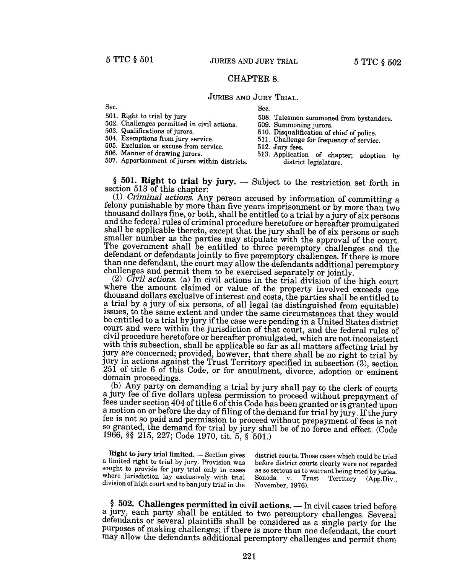# CHAPTER 8.

# JURIES AND JURY TRIAL.

Sec.

501. Right to trial by jury

502. Challenges permitted in civil actions.

503. Qualifications of jurors.

504. Exemptions from jury service.

505. Exclusion or excuse from service.

506. Manner of drawing jurors.

507. Apportionment of jurors within districts.

- Sec.
- 508. Talesmen summoned from bystanders.
- 509. Summoning jurors.
- 510. Disqualification of chief of police.
- 511. Challenge for frequency of service.
- 512. Jury fees.
- 513. Application of chapter; adoption by district legislature.

 $§$  501. Right to trial by jury.  $-$  Subject to the restriction set forth in section 513 of this chapter:

(1) *Criminal actions.* Any person accused by information of committing a felony punishable by more than five years imprisonment or by more than two thousand dollars fine, or both, shall be entitled to a trial by ajury of six persons and the federal rules of criminal procedure heretofore or hereafter promulgated shall be applicable thereto, except that the jury shall be of six persons or such smaller number as the parties may stipulate with the approval of the court. The government shall be entitled to three peremptory challenges and the defendant or defendants jointly to five peremptory challenges. If there is more than one defendant, the court may allow the defendants additional peremptory challenges and permit them to be exercised separately or jointly.

*(2) Civil actions.* (a) In civil actions in the trial division of the high court where the amount claimed or value of the property involved exceeds one thousand dollars exclusive of interest and costs, the parties shall be entitled to a trial by a jury of six persons, of all legal (as distinguished from equitable) issues, to the same extent and under the same circumstances that they would be entitled to a trial by jury if the case were pending in a United States district court and were within the jurisdiction of that court, and the federal rules of civil procedure heretofore or hereafter promulgated, which are not inconsistent with this subsection, shall be applicable so far as all matters affecting trial by jury are concerned; provided, however, that there shall be no right to trial by jury in actions against the Trust Territory specified in subsection (3), section 251 of title 6 of this Code, or for annulment, divorce, adoption or eminent domain proceedings.

(b) Any party on demanding a trial by jury shall pay to the clerk of courts a jury fee of five dollars unless permission to proceed without prepayment of fees under section 404 of title 6 of this Code has been granted or is granted upon a motion on or before the day of filing of the demand for trial by jury. If the jury fee is not so paid and permission to proceed without prepayment of fees is not so granted, the demand for trial by jury shall be of no force and effect. (Code 1966, §§ 215, 227; Code 1970, tit. 5, § 501.)

Right to jury trial limited. - Section gives a limited right to trial by jury. Provision was sought to provide for jury trial only in cases where jurisdiction lay exclusively with trial division of high court and to ban jury trial in the

district courts. Those cases which could be tried before district courts clearly were not regarded as so serious as to warrant being tried by juries. Sonoda v. Trust Territory (App.Div., November, 1976).

§ 502. Challenges permitted in civil actions. - In civil cases tried before a jury, each party shall be entitled to two peremptory challenges. Several defendants or several plaintiffs shall be considered as a single party for the purposes of making challenges; if there is more than one defendant, the court may allow the defendants additional peremptory challenges and permit them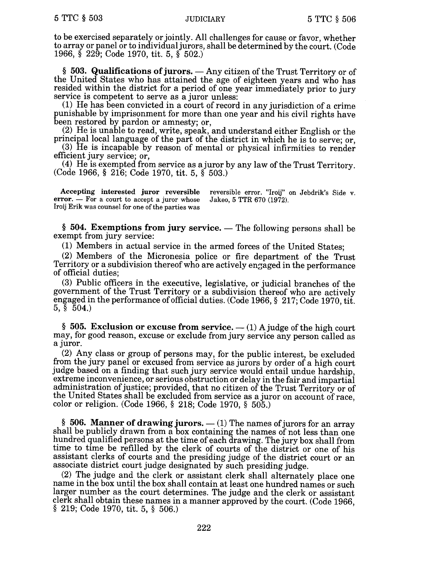to be exercised separately or jointly. All challenges for cause or favor, whether to array or panel or to individual jurors, shall be determined by the court. (Code 1966, § 229; Code 1970, tit. 5, § 502.)

 $§$  503. Qualifications of jurors.  $-$  Any citizen of the Trust Territory or of the United States who has attained the age of eighteen years and who has resided within the district for a period of one year immediately prior to jury service is competent to serve as a juror unless:

(1) He has been convicted in a court of record in any jurisdiction of a crime punishable by imprisonment for more than one year and his civil rights have been restored by pardon or amnesty; or,

(2) He is unable to read, write, speak, and understand either English or the principal local language of the part of the district in which he is to serve; or,

(3) He is incapable by reason of mental or physical infirmities to render efficient jury service; or,

(4) He is exempted from service as a juror by any law of the Trust Territory. (Code 1966, § 216; Code 1970, tit. 5, § 503.)

Accepting interested juror reversible reversible error. "Iroij" on Jebdrik's Side v. rror. — For a court to accept a juror whose Jakeo, 5 TTR 670 (1972). error.  $-$  For a court to accept a juror whose Iroij Erik was counsel for one of the parties was

 $§$  504. Exemptions from jury service.  $-$  The following persons shall be exempt from jury service:

(1) Members in actual service in the armed forces of the United States;

(2) Members of the Micronesia police or fire department of the Trust Territory or a subdivision thereof who are actively engaged in the performance of official duties;

(3) Public officers in the executive, legislative, or judicial branches of the government of the Trust Territory or a subdivision thereof who are actively engaged in the performance of official duties. (Code 1966, § 217; Code 1970, tit. 5, § 504.)

§ 505. Exclusion or excuse from service.  $-$  (1) A judge of the high court may, for good reason, excuse or exclude from jury service any person called as a juror.

(2) Any class or group of persons may, for the public interest, be excluded from the jury panel or excused from service as jurors by order of a high court judge based on a finding that such jury service would entail undue hardship, extreme inconvenience, or serious obstruction or delay in the fair and impartial administration of justice; provided, that no citizen of the Trust Territory or of the United States shall be excluded from service as a juror on account of race, color or religion. (Code 1966, § 218; Code 1970, § 505.)

§ 506. Manner of drawing jurors.  $-$  (1) The names of jurors for an array shall be publicly drawn from a box containing the names of not less than one hundred qualified persons at the time of each drawing. The jury box shall from time to time be refilled by the clerk of courts of the district or one of his assistant clerks of courts and the presiding judge of the district court or an associate district court judge designated by such presiding judge.

(2) The judge and the clerk or assistant clerk shall alternately place one name in the box until the box shall contain at least one hundred names or such larger number as the court determines. The judge and the clerk or assistant clerk shall obtain these names in a manner approved by the court. (Code 1966, § 219; Code 1970, tit. 5, § 506.)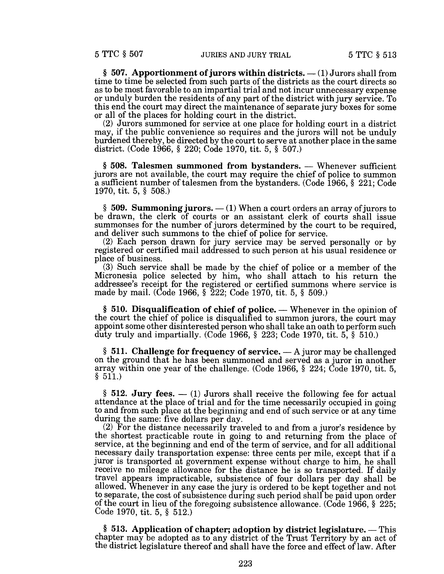§ 507. Apportionment of jurors within districts.  $-$  (1) Jurors shall from time to time be selected from such parts of the districts as the court directs so as to be most favorable to an impartial trial and not incur unnecessary expense or unduly burden the residents of any part of the district with jury service. To this end the court may direct the maintenance of separate jury boxes for some or all of the places for holding court in the district.

(2) Jurors summoned for service at one place for holding court in a district may, if the public convenience so requires and the jurors will not be unduly burdened thereby, be directed by the court to serve at another place in the same district. (Code 1966, § 220; Code 1970, tit. 5, § 507.)

§ 508. Talesmen summoned from bystanders. — Whenever sufficient jurors are not available, the court may require the chief of police to summon a sufficient number of talesmen from the bystanders. (Code 1966, § 221; Code 1970, tit. 5, § 508.)

 $\S$  509. Summoning jurors.  $- (1)$  When a court orders an array of jurors to be drawn, the clerk of courts or an assistant clerk of courts shall issue summonses for the number of jurors determined by the court to be required, and deliver such summons to the chief of police for service.

(2) Each person drawn for jury service may be served personally or by registered or certified mail addressed to such person at his usual residence or place of business.

(3) Such service shall be made by the chief of police or a member of the Micronesia police selected by him, who shall attach to his return the addressee's receipt for the registered or certified summons where service is made by mail. (Code 1966, § 222; Code 1970, tit. 5, § 509.)

 $§ 510.$  Disqualification of chief of police.  $-$  Whenever in the opinion of the court the chief of police is disqualified to summon jurors, the court may appoint some other disinterested person who shall take an oath to perform such duty truly and impartially. (Code 1966, § 223; Code 1970, tit. 5, § 510.)

 $\S$  511. Challenge for frequency of service.  $-A$  juror may be challenged on the ground that he has been summoned and served as a juror in another array within one year of the challenge. (Code 1966,  $\S$  224; Code 1970, tit. 5,  $§ 511.$ 

 $\S$  512. Jury fees.  $-$  (1) Jurors shall receive the following fee for actual attendance at the place of trial and for the time necessarily occupied in going to and from such place at the beginning and end of such service or at any time during the same: five dollars per day.

(2) For the distance necessarily traveled to and from a juror's residence by the shortest practicable route in going to and returning from the place of service, at the beginning and end of the term of service, and for all additional necessary daily transportation expense: three cents per mile, except that if a juror is transported at government expense without charge to him, he shall receive no mileage allowance for the distance he is so transported. If daily travel appears impracticable, subsistence of four dollars per day shall be allowed. Whenever in any case the jury is ordered to be kept together and not to separate, the cost of subsistence during such period shall be paid upon order of the court in lieu of the foregoing subsistence allowance. (Code 1966, § 225; Code 1970, tit. 5, § 512.)

 $§$  513. Application of chapter; adoption by district legislature.  $-$  This chapter may be adopted as to any district of the Trust Territory by an act of the district legislature thereof and shall have the force and effect of law. After